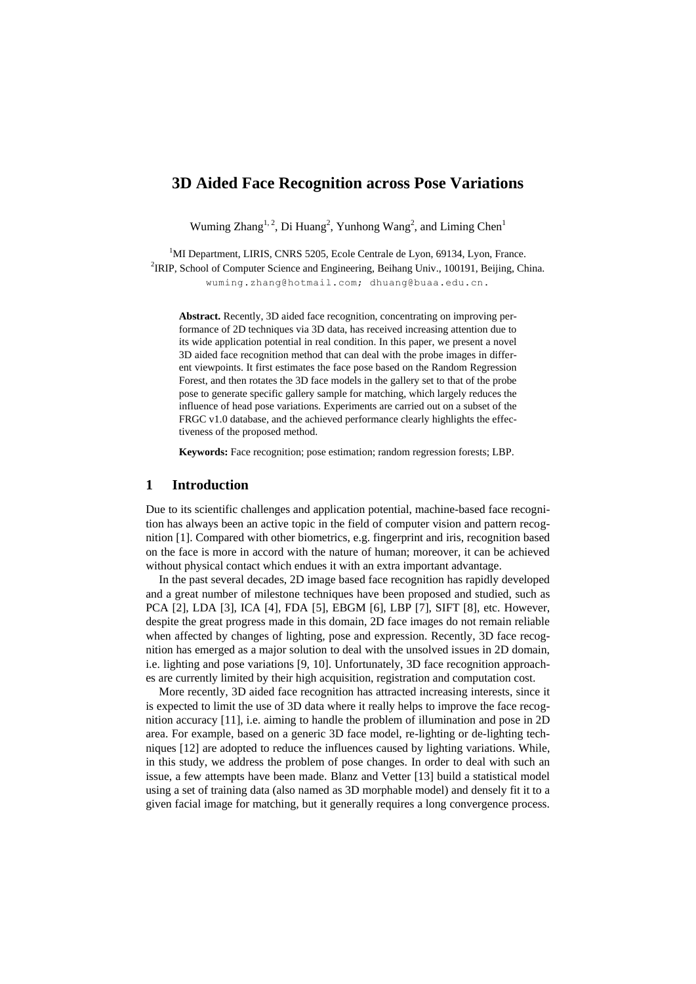# **3D Aided Face Recognition across Pose Variations**

Wuming Zhang<sup>1, 2</sup>, Di Huang<sup>2</sup>, Yunhong Wang<sup>2</sup>, and Liming Chen<sup>1</sup>

<sup>1</sup>MI Department, LIRIS, CNRS 5205, Ecole Centrale de Lyon, 69134, Lyon, France. <sup>2</sup>IRIP, School of Computer Science and Engineering, Beihang Univ., 100191, Beijing, China. wuming.zhang@hotmail.com; dhuang@buaa.edu.cn.

**Abstract.** Recently, 3D aided face recognition, concentrating on improving performance of 2D techniques via 3D data, has received increasing attention due to its wide application potential in real condition. In this paper, we present a novel 3D aided face recognition method that can deal with the probe images in different viewpoints. It first estimates the face pose based on the Random Regression Forest, and then rotates the 3D face models in the gallery set to that of the probe pose to generate specific gallery sample for matching, which largely reduces the influence of head pose variations. Experiments are carried out on a subset of the FRGC v1.0 database, and the achieved performance clearly highlights the effectiveness of the proposed method.

**Keywords:** Face recognition; pose estimation; random regression forests; LBP.

## **1 Introduction**

Due to its scientific challenges and application potential, machine-based face recognition has always been an active topic in the field of computer vision and pattern recognition [1]. Compared with other biometrics, e.g. fingerprint and iris, recognition based on the face is more in accord with the nature of human; moreover, it can be achieved without physical contact which endues it with an extra important advantage.

In the past several decades, 2D image based face recognition has rapidly developed and a great number of milestone techniques have been proposed and studied, such as PCA [2], LDA [3], ICA [4], FDA [5], EBGM [6], LBP [7], SIFT [8], etc. However, despite the great progress made in this domain, 2D face images do not remain reliable when affected by changes of lighting, pose and expression. Recently, 3D face recognition has emerged as a major solution to deal with the unsolved issues in 2D domain, i.e. lighting and pose variations [9, 10]. Unfortunately, 3D face recognition approaches are currently limited by their high acquisition, registration and computation cost.

More recently, 3D aided face recognition has attracted increasing interests, since it is expected to limit the use of 3D data where it really helps to improve the face recognition accuracy [11], i.e. aiming to handle the problem of illumination and pose in 2D area. For example, based on a generic 3D face model, re-lighting or de-lighting techniques [12] are adopted to reduce the influences caused by lighting variations. While, in this study, we address the problem of pose changes. In order to deal with such an issue, a few attempts have been made. Blanz and Vetter [13] build a statistical model using a set of training data (also named as 3D morphable model) and densely fit it to a given facial image for matching, but it generally requires a long convergence process.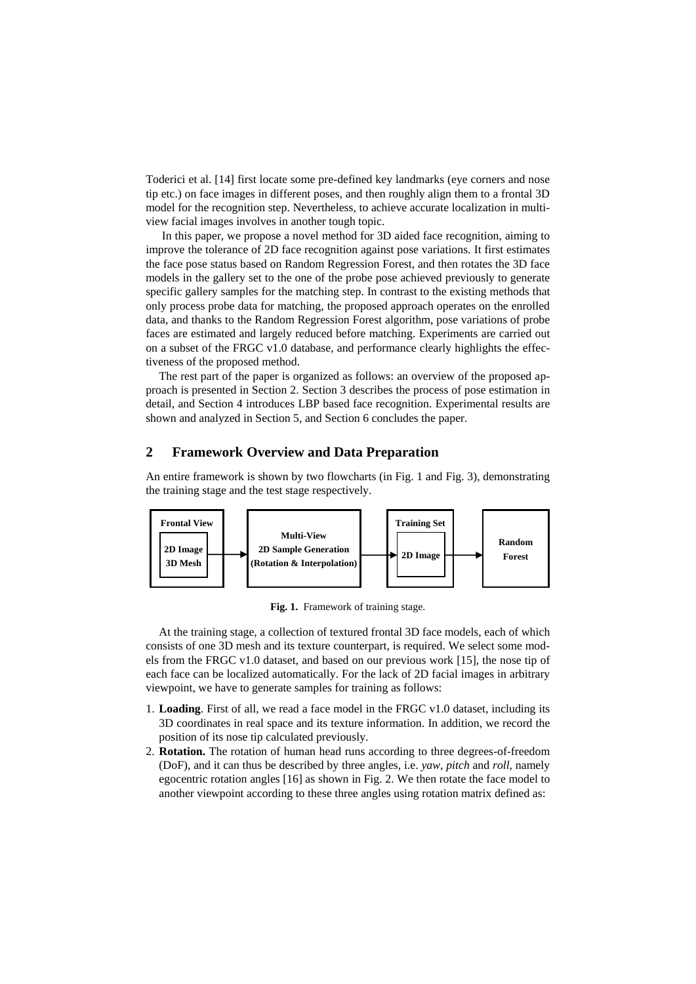Toderici et al. [14] first locate some pre-defined key landmarks (eye corners and nose tip etc.) on face images in different poses, and then roughly align them to a frontal 3D model for the recognition step. Nevertheless, to achieve accurate localization in multiview facial images involves in another tough topic.

In this paper, we propose a novel method for 3D aided face recognition, aiming to improve the tolerance of 2D face recognition against pose variations. It first estimates the face pose status based on Random Regression Forest, and then rotates the 3D face models in the gallery set to the one of the probe pose achieved previously to generate specific gallery samples for the matching step. In contrast to the existing methods that only process probe data for matching, the proposed approach operates on the enrolled data, and thanks to the Random Regression Forest algorithm, pose variations of probe faces are estimated and largely reduced before matching. Experiments are carried out on a subset of the FRGC v1.0 database, and performance clearly highlights the effectiveness of the proposed method.

The rest part of the paper is organized as follows: an overview of the proposed approach is presented in Section 2. Section 3 describes the process of pose estimation in detail, and Section 4 introduces LBP based face recognition. Experimental results are shown and analyzed in Section 5, and Section 6 concludes the paper.

## **2 Framework Overview and Data Preparation**

An entire framework is shown by two flowcharts (in Fig. 1 and Fig. 3), demonstrating the training stage and the test stage respectively.



**Fig. 1.** Framework of training stage.

At the training stage, a collection of textured frontal 3D face models, each of which consists of one 3D mesh and its texture counterpart, is required. We select some models from the FRGC v1.0 dataset, and based on our previous work [15], the nose tip of each face can be localized automatically. For the lack of 2D facial images in [arbitrary](app:ds:arbitrary) viewpoint, we have to generate samples for training as follows:

- 1. **Loading**. First of all, we read a face model in the FRGC v1.0 dataset, including its 3D coordinates in real space and its texture information. In addition, we record the position of its nose tip calculated previously.
- 2. **Rotation.** The rotation of human head runs according to three degrees-of-freedom (DoF), and it can thus be described by three angles, i.e. *yaw*, *pitch* and *roll*, namely egocentric rotation angles [16] as shown in Fig. 2. We then rotate the face model to another viewpoint according to these three angles using rotation matrix defined as: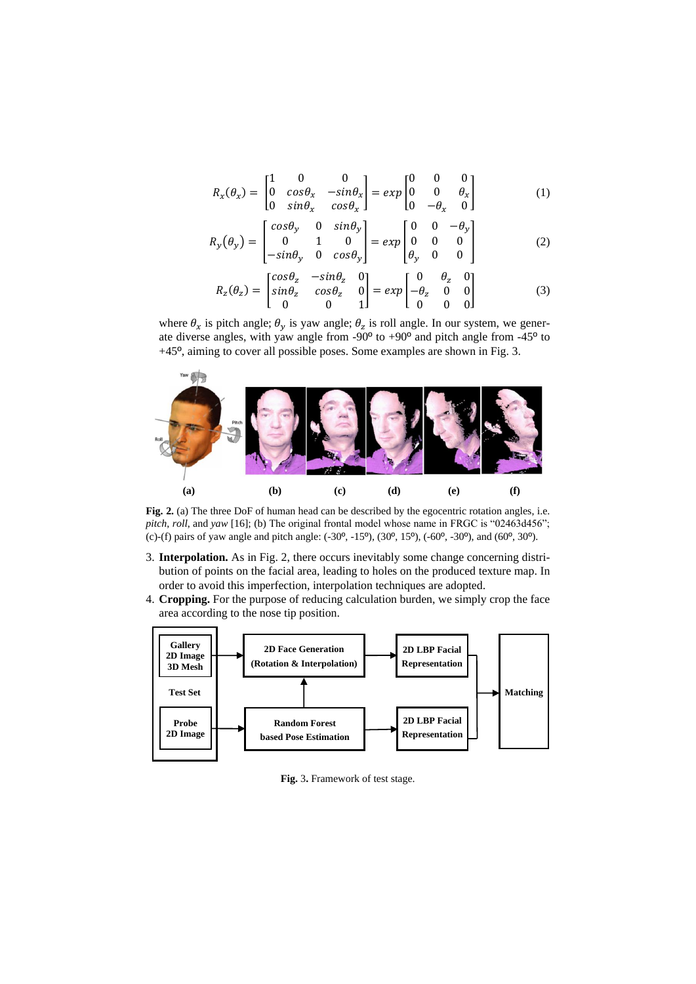$$
R_x(\theta_x) = \begin{bmatrix} 1 & 0 & 0 \\ 0 & \cos \theta_x & -\sin \theta_x \\ 0 & \sin \theta_x & \cos \theta_x \end{bmatrix} = \exp \begin{bmatrix} 0 & 0 & 0 \\ 0 & 0 & \theta_x \\ 0 & -\theta_x & 0 \end{bmatrix}
$$
(1)

$$
R_{y}(\theta_{y}) = \begin{bmatrix} \cos \theta_{y} & 0 & \sin \theta_{y} \\ 0 & 1 & 0 \\ -\sin \theta_{y} & 0 & \cos \theta_{y} \end{bmatrix} = \exp \begin{bmatrix} 0 & 0 & -\theta_{y} \\ 0 & 0 & 0 \\ \theta_{y} & 0 & 0 \end{bmatrix} \tag{2}
$$

$$
R_z(\theta_z) = \begin{bmatrix} \cos\theta_z & -\sin\theta_z & 0\\ \sin\theta_z & \cos\theta_z & 0\\ 0 & 0 & 1 \end{bmatrix} = \exp\begin{bmatrix} 0 & \theta_z & 0\\ -\theta_z & 0 & 0\\ 0 & 0 & 0 \end{bmatrix} \tag{3}
$$

where  $\theta_x$  is pitch angle;  $\theta_y$  is yaw angle;  $\theta_z$  is roll angle. In our system, we generate diverse angles, with yaw angle from  $-90^{\circ}$  to  $+90^{\circ}$  and pitch angle from  $-45^{\circ}$  to +45º, aiming to cover all possible poses. Some examples are shown in Fig. 3.



Fig. 2. (a) The three DoF of human head can be described by the egocentric rotation angles, i.e. *pitch*, *roll*, and *yaw* [16]; (b) The original frontal model whose name in FRGC is "02463d456"; (c)-(f) pairs of yaw angle and pitch angle: (-30º, -15º), (30º, 15º), (-60º, -30º), and (60º, 30º).

- 3. **Interpolation.** As in Fig. 2, there occurs inevitably some change concerning distribution of points on the facial area, leading to holes on the produced texture map. In order to avoid this imperfection, interpolation techniques are adopted.
- 4. **Cropping.** For the purpose of reducing calculation burden, we simply crop the face area according to the nose tip position.



**Fig.** 3**.** Framework of test stage.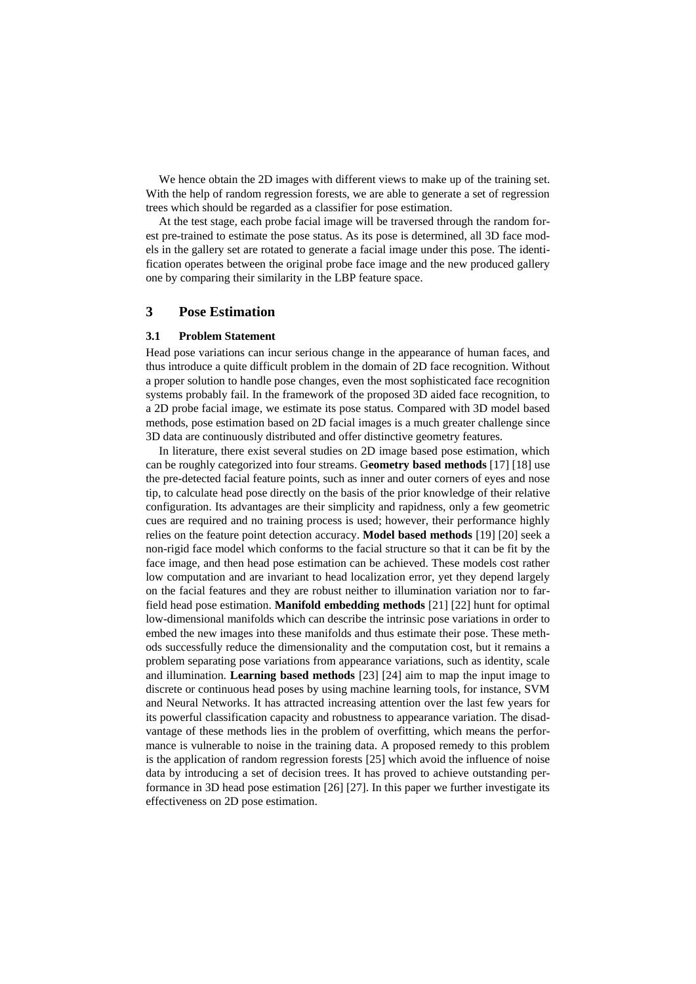We hence obtain the 2D images with different views to make up of the training set. With the help of random regression forests, we are able to generate a set of regression trees which should be regarded as a classifier for pose estimation.

At the test stage, each probe facial image will be traversed through the random forest pre-trained to estimate the pose status. As its pose is determined, all 3D face models in the gallery set are rotated to generate a facial image under this pose. The identification operates between the original probe face image and the new produced gallery one by comparing their similarity in the LBP feature space.

## **3 Pose Estimation**

#### **3.1 Problem Statement**

Head pose variations can incur serious change in the appearance of human faces, and thus introduce a quite difficult problem in the domain of 2D face recognition. Without a proper solution to handle pose changes, even the most sophisticated face recognition systems probably fail. In the framework of the proposed 3D aided face recognition, to a 2D probe facial image, we estimate its pose status. Compared with 3D model based methods, pose estimation based on 2D facial images is a much greater challenge since 3D data are continuously distributed and offer distinctive geometry features.

In literature, there exist several studies on 2D image based pose estimation, which can be roughly categorized into four streams. G**eometry based methods** [17] [18] use the pre-detected facial feature points, such as inner and outer corners of eyes and nose tip, to calculate head pose directly on the basis of the prior knowledge of their relative configuration. Its advantages are their simplicity and rapidness, only a few geometric cues are required and no training process is used; however, their performance highly relies on the feature point detection accuracy. **Model based methods** [19] [20] seek a non-rigid face model which conforms to the facial structure so that it can be fit by the face image, and then head pose estimation can be achieved. These models cost rather low computation and are invariant to head localization error, yet they depend largely on the facial features and they are robust neither to illumination variation nor to farfield head pose estimation. **Manifold embedding methods** [21] [22] hunt for optimal low-dimensional manifolds which can describe the intrinsic pose variations in order to embed the new images into these manifolds and thus estimate their pose. These methods successfully reduce the dimensionality and the computation cost, but it remains a problem separating pose variations from appearance variations, such as identity, scale and illumination. **Learning based methods** [23] [24] aim to map the input image to discrete or continuous head poses by using machine learning tools, for instance, SVM and Neural Networks. It has attracted increasing attention over the last few years for its powerful classification capacity and robustness to appearance variation. The disadvantage of these methods lies in the problem of overfitting, which means the performance is vulnerable to noise in the training data. A proposed remedy to this problem is the application of random regression forests [25] which avoid the influence of noise data by introducing a set of decision trees. It has proved to achieve outstanding performance in 3D head pose estimation [26] [27]. In this paper we further investigate its effectiveness on 2D pose estimation.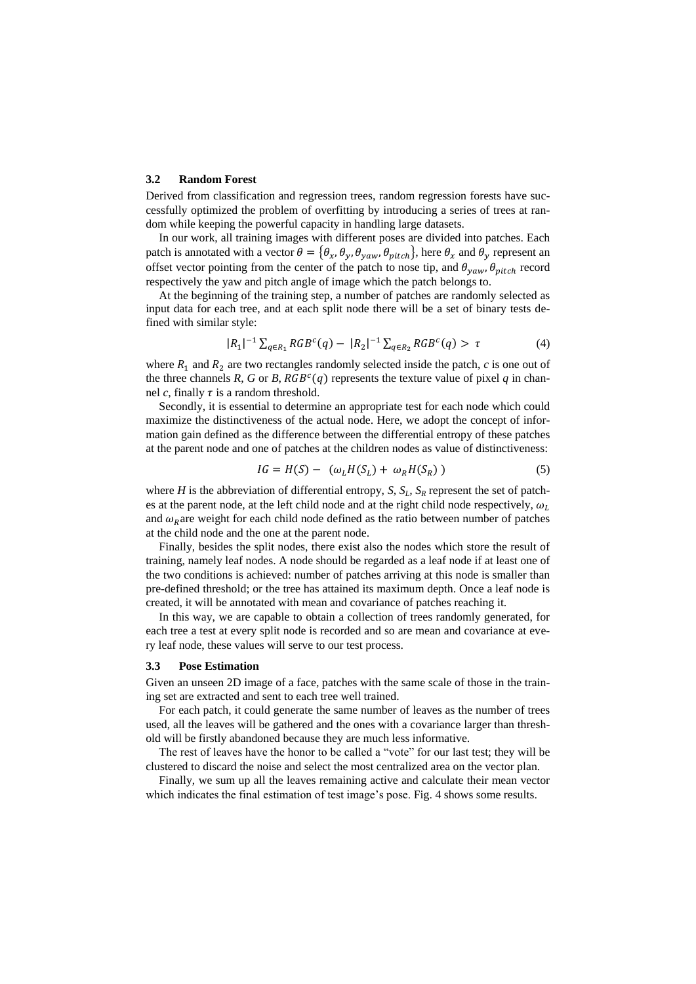#### **3.2 Random Forest**

Derived from classification and regression trees, random regression forests have successfully optimized the problem of overfitting by introducing a series of trees at random while keeping the powerful capacity in handling large datasets.

In our work, all training images with different poses are divided into patches. Each patch is annotated with a vector  $\theta = {\theta_x, \theta_y, \theta_{\text{yaw}}, \theta_{\text{pitch}}},$  here  $\theta_x$  and  $\theta_y$  represent an offset vector pointing from the center of the patch to nose tip, and  $\theta_{vaw}$ ,  $\theta_{pitch}$  record respectively the yaw and pitch angle of image which the patch belongs to.

At the beginning of the training step, a number of patches are randomly selected as input data for each tree, and at each split node there will be a set of binary tests defined with similar style:

$$
|R_1|^{-1} \sum_{q \in R_1} RGB^c(q) - |R_2|^{-1} \sum_{q \in R_2} RGB^c(q) > \tau
$$
 (4)

where  $R_1$  and  $R_2$  are two rectangles randomly selected inside the patch,  $c$  is one out of the three channels  $R$ ,  $G$  or  $B$ ,  $RGB<sup>c</sup>(q)$  represents the texture value of pixel  $q$  in channel  $c$ , finally  $\tau$  is a random threshold.

Secondly, it is essential to determine an appropriate test for each node which could maximize the distinctiveness of the actual node. Here, we adopt the concept of information gain defined as the difference between the differential entropy of these patches at the parent node and one of patches at the children nodes as value of distinctiveness:

$$
IG = H(S) - (\omega_L H(S_L) + \omega_R H(S_R))
$$
\n<sup>(5)</sup>

where *H* is the abbreviation of differential entropy, *S*,  $S_L$ ,  $S_R$  represent the set of patches at the parent node, at the left child node and at the right child node respectively,  $\omega_L$ and  $\omega_{\rm F}$  are weight for each child node defined as the ratio between number of patches at the child node and the one at the parent node.

Finally, besides the split nodes, there exist also the nodes which store the result of training, namely leaf nodes. A node should be regarded as a leaf node if at least one of the two conditions is achieved: number of patches arriving at this node is smaller than pre-defined threshold; or the tree has attained its maximum depth. Once a leaf node is created, it will be annotated with mean and covariance of patches reaching it.

In this way, we are capable to obtain a collection of trees randomly generated, for each tree a test at every split node is recorded and so are mean and covariance at every leaf node, these values will serve to our test process.

#### **3.3 Pose Estimation**

Given an unseen 2D image of a face, patches with the same scale of those in the training set are extracted and sent to each tree well trained.

For each patch, it could generate the same number of leaves as the number of trees used, all the leaves will be gathered and the ones with a covariance larger than threshold will be firstly abandoned because they are much less informative.

The rest of leaves have the honor to be called a "vote" for our last test; they will be clustered to discard the noise and select the most centralized area on the vector plan.

Finally, we sum up all the leaves remaining active and calculate their mean vector which indicates the final estimation of test image's pose. Fig. 4 shows some results.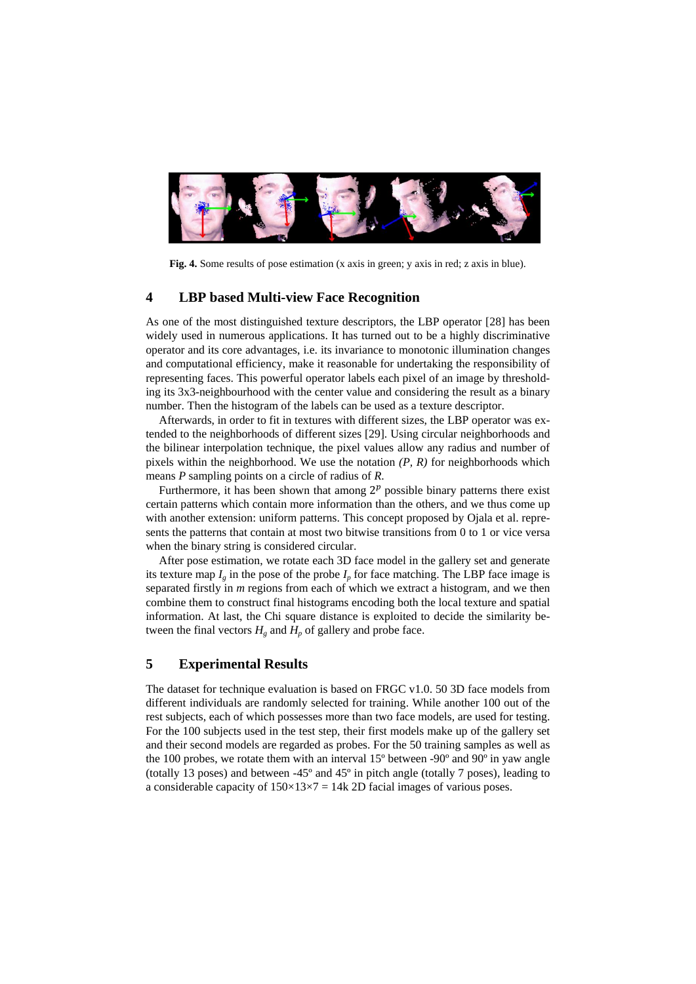

**Fig. 4.** Some results of pose estimation (x axis in green; y axis in red; z axis in blue).

## **4 LBP based Multi-view Face Recognition**

As one of the most distinguished texture descriptors, the LBP operator [28] has been widely used in numerous applications. It has turned out to be a highly discriminative operator and its core advantages, i.e. its invariance to monotonic illumination changes and computational efficiency, make it reasonable for undertaking the responsibility of representing faces. This powerful operator labels each pixel of an image by thresholding its 3x3-neighbourhood with the center value and considering the result as a binary number. Then the histogram of the labels can be used as a texture descriptor.

Afterwards, in order to fit in textures with different sizes, the LBP operator was extended to the neighborhoods of different sizes [29]. Using circular neighborhoods and the bilinear interpolation technique, the pixel values allow any radius and number of pixels within the neighborhood. We use the notation *(P, R)* for neighborhoods which means *P* sampling points on a circle of radius of *R*.

Furthermore, it has been shown that among  $2^p$  possible binary patterns there exist certain patterns which contain more information than the others, and we thus come up with another extension: uniform patterns. This concept proposed by Ojala et al. represents the patterns that contain at most two bitwise transitions from 0 to 1 or vice versa when the binary string is considered circular.

After pose estimation, we rotate each 3D face model in the gallery set and generate its texture map  $I_g$  in the pose of the probe  $I_p$  for face matching. The LBP face image is separated firstly in *m* regions from each of which we extract a histogram, and we then combine them to construct final histograms encoding both the local texture and spatial information. At last, the Chi square distance is exploited to decide the similarity between the final vectors  $H_g$  and  $H_p$  of gallery and probe face.

## **5 Experimental Results**

The dataset for technique evaluation is based on FRGC v1.0. 50 3D face models from different individuals are randomly selected for training. While another 100 out of the rest subjects, each of which possesses more than two face models, are used for testing. For the 100 subjects used in the test step, their first models make up of the gallery set and their second models are regarded as probes. For the 50 training samples as well as the 100 probes, we rotate them with an interval 15 °between -90 °and 90 °in yaw angle (totally 13 poses) and between  $-45^\circ$  and 45 $^\circ$  in pitch angle (totally 7 poses), leading to a considerable capacity of  $150 \times 13 \times 7 = 14$  k 2D facial images of various poses.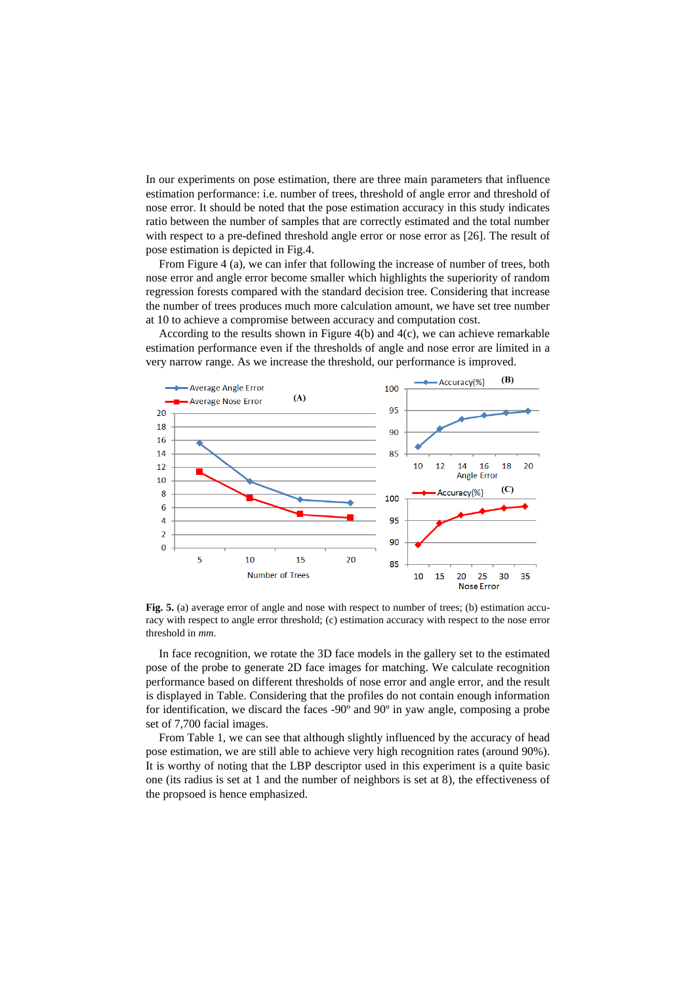In our experiments on pose estimation, there are three main parameters that influence estimation performance: i.e. number of trees, threshold of angle error and threshold of nose error. It should be noted that the pose estimation accuracy in this study indicates ratio between the number of samples that are correctly estimated and the total number with respect to a pre-defined threshold angle error or nose error as [26]. The result of pose estimation is depicted in Fig.4.

From Figure 4 (a), we can infer that following the increase of number of trees, both nose error and angle error become smaller which highlights the superiority of random regression forests compared with the standard decision tree. Considering that increase the number of trees produces much more calculation amount, we have set tree number at 10 to achieve a compromise between accuracy and computation cost.

According to the results shown in Figure  $4(b)$  and  $4(c)$ , we can achieve remarkable estimation performance even if the thresholds of angle and nose error are limited in a very narrow range. As we increase the threshold, our performance is improved.



Fig. 5. (a) average error of angle and nose with respect to number of trees; (b) estimation accuracy with respect to angle error threshold; (c) estimation accuracy with respect to the nose error threshold in *mm*.

In face recognition, we rotate the 3D face models in the gallery set to the estimated pose of the probe to generate 2D face images for matching. We calculate recognition performance based on different thresholds of nose error and angle error, and the result is displayed in Table. Considering that the profiles do not contain enough information for identification, we discard the faces -90ºand 90ºin yaw angle, composing a probe set of 7,700 facial images.

From Table 1, we can see that although slightly influenced by the accuracy of head pose estimation, we are still able to achieve very high recognition rates (around 90%). It is worthy of noting that the LBP descriptor used in this experiment is a quite basic one (its radius is set at 1 and the number of neighbors is set at 8), the effectiveness of the propsoed is hence emphasized.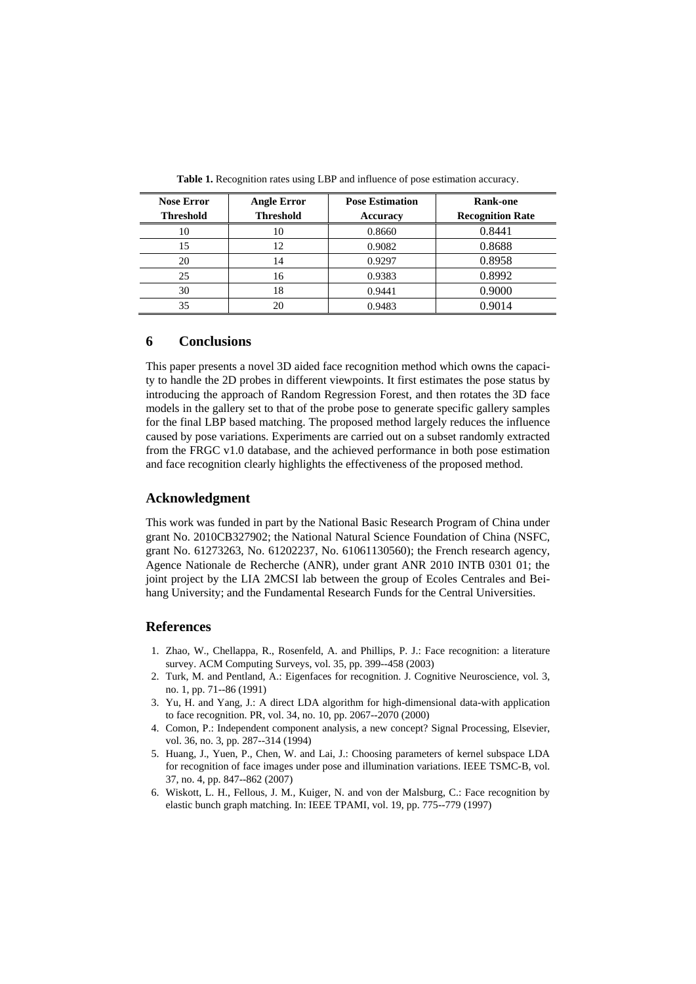| <b>Nose Error</b> | <b>Angle Error</b> | <b>Pose Estimation</b> | Rank-one                |
|-------------------|--------------------|------------------------|-------------------------|
| <b>Threshold</b>  | <b>Threshold</b>   | Accuracy               | <b>Recognition Rate</b> |
| 10                | 10                 | 0.8660                 | 0.8441                  |
| 15                | 12                 | 0.9082                 | 0.8688                  |
| 20                | 14                 | 0.9297                 | 0.8958                  |
| 25                | 16                 | 0.9383                 | 0.8992                  |
| 30                | 18                 | 0.9441                 | 0.9000                  |
| 35                | 20                 | 0.9483                 | 0.9014                  |

**Table 1.** Recognition rates using LBP and influence of pose estimation accuracy.

## **6 Conclusions**

This paper presents a novel 3D aided face recognition method which owns the capacity to handle the 2D probes in different viewpoints. It first estimates the pose status by introducing the approach of Random Regression Forest, and then rotates the 3D face models in the gallery set to that of the probe pose to generate specific gallery samples for the final LBP based matching. The proposed method largely reduces the influence caused by pose variations. Experiments are carried out on a subset randomly extracted from the FRGC v1.0 database, and the achieved performance in both pose estimation and face recognition clearly highlights the effectiveness of the proposed method.

## **Acknowledgment**

This work was funded in part by the National Basic Research Program of China under grant No. 2010CB327902; the National Natural Science Foundation of China (NSFC, grant No. 61273263, No. 61202237, No. 61061130560); the French research agency, Agence Nationale de Recherche (ANR), under grant ANR 2010 INTB 0301 01; the joint project by the LIA 2MCSI lab between the group of Ecoles Centrales and Beihang University; and the Fundamental Research Funds for the Central Universities.

### **References**

- 1. Zhao, W., Chellappa, R., Rosenfeld, A. and Phillips, P. J.: Face recognition: a literature survey. ACM Computing Surveys, vol. 35, pp. 399--458 (2003)
- 2. Turk, M. and Pentland, A.: Eigenfaces for recognition. J. Cognitive Neuroscience, vol. 3, no. 1, pp. 71--86 (1991)
- 3. Yu, H. and Yang, J.: A direct LDA algorithm for high-dimensional data-with application to face recognition. PR, vol. 34, no. 10, pp. 2067--2070 (2000)
- 4. Comon, P.: Independent component analysis, a new concept? Signal Processing, Elsevier, vol. 36, no. 3, pp. 287--314 (1994)
- 5. Huang, J., Yuen, P., Chen, W. and Lai, J.: Choosing parameters of kernel subspace LDA for recognition of face images under pose and illumination variations. IEEE TSMC-B, vol. 37, no. 4, pp. 847--862 (2007)
- 6. Wiskott, L. H., Fellous, J. M., Kuiger, N. and von der Malsburg, C.: Face recognition by elastic bunch graph matching. In: IEEE TPAMI, vol. 19, pp. 775--779 (1997)